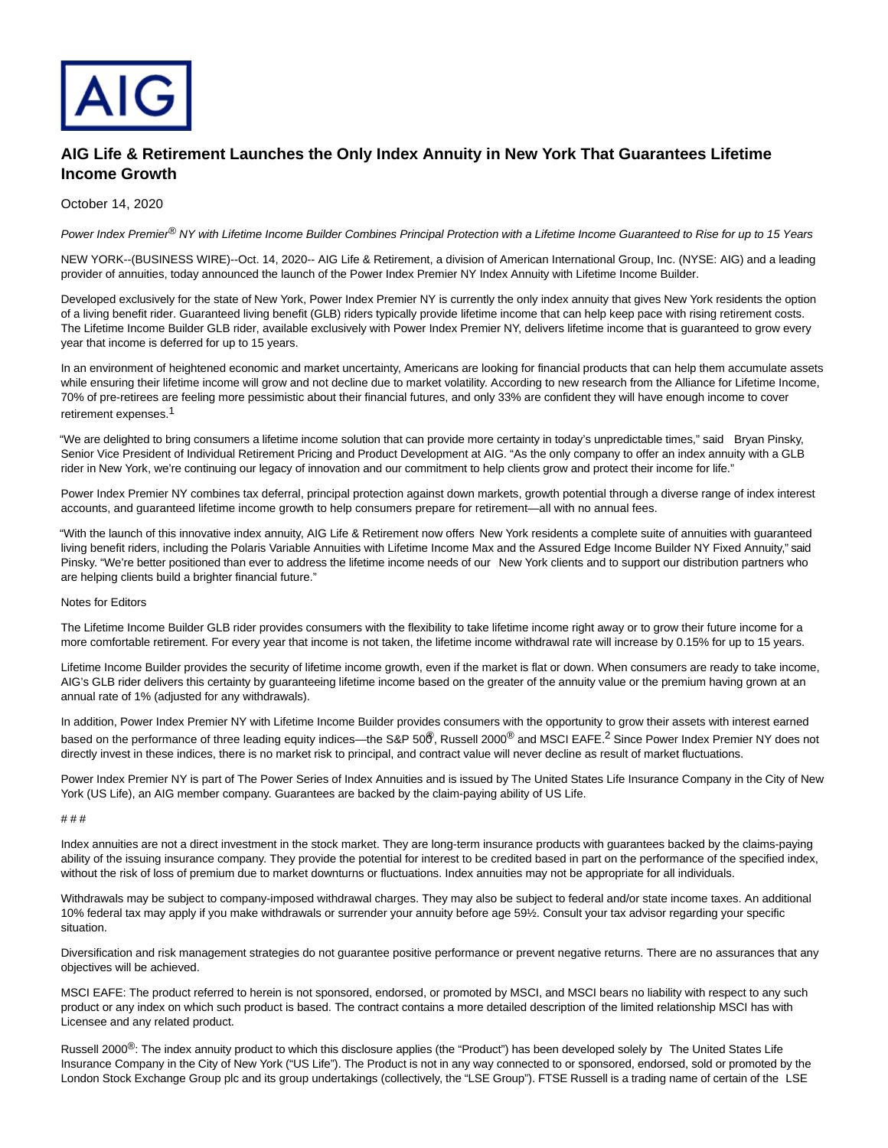

# **AIG Life & Retirement Launches the Only Index Annuity in New York That Guarantees Lifetime Income Growth**

October 14, 2020

Power Index Premier<sup>®</sup> NY with Lifetime Income Builder Combines Principal Protection with a Lifetime Income Guaranteed to Rise for up to 15 Years

NEW YORK--(BUSINESS WIRE)--Oct. 14, 2020-- AIG Life & Retirement, a division of American International Group, Inc. (NYSE: AIG) and a leading provider of annuities, today announced the launch of the Power Index Premier NY Index Annuity with Lifetime Income Builder.

Developed exclusively for the state of New York, Power Index Premier NY is currently the only index annuity that gives New York residents the option of a living benefit rider. Guaranteed living benefit (GLB) riders typically provide lifetime income that can help keep pace with rising retirement costs. The Lifetime Income Builder GLB rider, available exclusively with Power Index Premier NY, delivers lifetime income that is guaranteed to grow every year that income is deferred for up to 15 years.

In an environment of heightened economic and market uncertainty, Americans are looking for financial products that can help them accumulate assets while ensuring their lifetime income will grow and not decline due to market volatility. According to new research from the Alliance for Lifetime Income, 70% of pre-retirees are feeling more pessimistic about their financial futures, and only 33% are confident they will have enough income to cover retirement expenses.1

"We are delighted to bring consumers a lifetime income solution that can provide more certainty in today's unpredictable times," said Bryan Pinsky, Senior Vice President of Individual Retirement Pricing and Product Development at AIG. "As the only company to offer an index annuity with a GLB rider in New York, we're continuing our legacy of innovation and our commitment to help clients grow and protect their income for life."

Power Index Premier NY combines tax deferral, principal protection against down markets, growth potential through a diverse range of index interest accounts, and guaranteed lifetime income growth to help consumers prepare for retirement—all with no annual fees.

"With the launch of this innovative index annuity, AIG Life & Retirement now offers New York residents a complete suite of annuities with guaranteed living benefit riders, including the Polaris Variable Annuities with Lifetime Income Max and the Assured Edge Income Builder NY Fixed Annuity," said Pinsky. "We're better positioned than ever to address the lifetime income needs of our New York clients and to support our distribution partners who are helping clients build a brighter financial future."

### Notes for Editors

The Lifetime Income Builder GLB rider provides consumers with the flexibility to take lifetime income right away or to grow their future income for a more comfortable retirement. For every year that income is not taken, the lifetime income withdrawal rate will increase by 0.15% for up to 15 years.

Lifetime Income Builder provides the security of lifetime income growth, even if the market is flat or down. When consumers are ready to take income, AIG's GLB rider delivers this certainty by guaranteeing lifetime income based on the greater of the annuity value or the premium having grown at an annual rate of 1% (adjusted for any withdrawals).

In addition, Power Index Premier NY with Lifetime Income Builder provides consumers with the opportunity to grow their assets with interest earned based on the performance of three leading equity indices—the S&P 500, Russell 2000<sup>®</sup> and MSCI EAFE.<sup>2</sup> Since Power Index Premier NY does not directly invest in these indices, there is no market risk to principal, and contract value will never decline as result of market fluctuations.

Power Index Premier NY is part of The Power Series of Index Annuities and is issued by The United States Life Insurance Company in the City of New York (US Life), an AIG member company. Guarantees are backed by the claim-paying ability of US Life.

#### # # #

Index annuities are not a direct investment in the stock market. They are long-term insurance products with guarantees backed by the claims-paying ability of the issuing insurance company. They provide the potential for interest to be credited based in part on the performance of the specified index, without the risk of loss of premium due to market downturns or fluctuations. Index annuities may not be appropriate for all individuals.

Withdrawals may be subject to company-imposed withdrawal charges. They may also be subject to federal and/or state income taxes. An additional 10% federal tax may apply if you make withdrawals or surrender your annuity before age 59½. Consult your tax advisor regarding your specific situation.

Diversification and risk management strategies do not guarantee positive performance or prevent negative returns. There are no assurances that any objectives will be achieved.

MSCI EAFE: The product referred to herein is not sponsored, endorsed, or promoted by MSCI, and MSCI bears no liability with respect to any such product or any index on which such product is based. The contract contains a more detailed description of the limited relationship MSCI has with Licensee and any related product.

Russell 2000<sup>®</sup>: The index annuity product to which this disclosure applies (the "Product") has been developed solely by The United States Life Insurance Company in the City of New York ("US Life"). The Product is not in any way connected to or sponsored, endorsed, sold or promoted by the London Stock Exchange Group plc and its group undertakings (collectively, the "LSE Group"). FTSE Russell is a trading name of certain of the LSE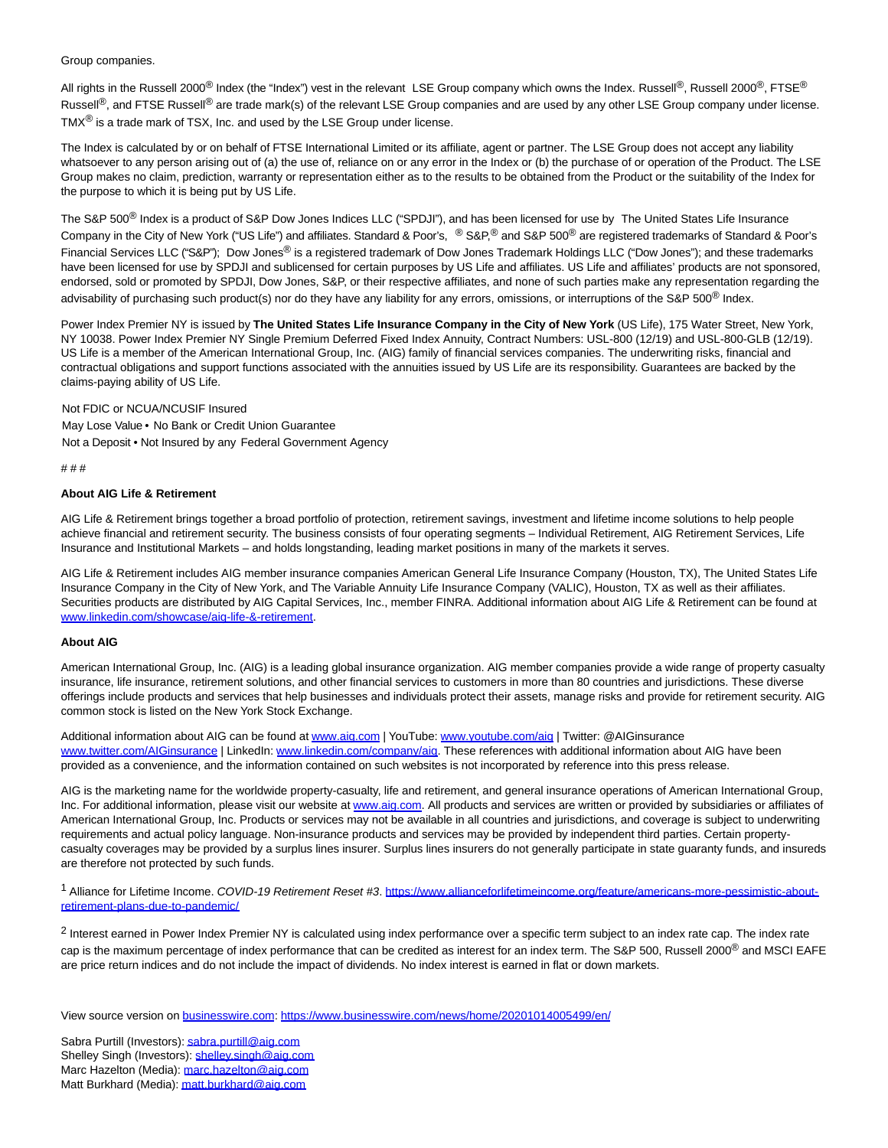Group companies.

All rights in the Russell 2000<sup>®</sup> Index (the "Index") vest in the relevant LSE Group company which owns the Index. Russell®, Russell 2000<sup>®</sup>, FTSE<sup>®</sup> Russell<sup>®</sup>, and FTSE Russell<sup>®</sup> are trade mark(s) of the relevant LSE Group companies and are used by any other LSE Group company under license.  $TMX^{\circledR}$  is a trade mark of TSX, Inc. and used by the LSE Group under license.

The Index is calculated by or on behalf of FTSE International Limited or its affiliate, agent or partner. The LSE Group does not accept any liability whatsoever to any person arising out of (a) the use of, reliance on or any error in the Index or (b) the purchase of or operation of the Product. The LSE Group makes no claim, prediction, warranty or representation either as to the results to be obtained from the Product or the suitability of the Index for the purpose to which it is being put by US Life.

The S&P 500<sup>®</sup> Index is a product of S&P Dow Jones Indices LLC ("SPDJI"), and has been licensed for use by The United States Life Insurance Company in the City of New York ("US Life") and affiliates. Standard & Poor's, <sup>®</sup> S&P,<sup>®</sup> and S&P 500<sup>®</sup> are registered trademarks of Standard & Poor's Financial Services LLC ("S&P"); Dow Jones® is a registered trademark of Dow Jones Trademark Holdings LLC ("Dow Jones"); and these trademarks have been licensed for use by SPDJI and sublicensed for certain purposes by US Life and affiliates. US Life and affiliates' products are not sponsored, endorsed, sold or promoted by SPDJI, Dow Jones, S&P, or their respective affiliates, and none of such parties make any representation regarding the advisability of purchasing such product(s) nor do they have any liability for any errors, omissions, or interruptions of the S&P 500<sup>®</sup> Index.

Power Index Premier NY is issued by **The United States Life Insurance Company in the City of New York** (US Life), 175 Water Street, New York, NY 10038. Power Index Premier NY Single Premium Deferred Fixed Index Annuity, Contract Numbers: USL-800 (12/19) and USL-800-GLB (12/19). US Life is a member of the American International Group, Inc. (AIG) family of financial services companies. The underwriting risks, financial and contractual obligations and support functions associated with the annuities issued by US Life are its responsibility. Guarantees are backed by the claims-paying ability of US Life.

Not FDIC or NCUA/NCUSIF Insured May Lose Value • No Bank or Credit Union Guarantee Not a Deposit • Not Insured by any Federal Government Agency

# # #

## **About AIG Life & Retirement**

AIG Life & Retirement brings together a broad portfolio of protection, retirement savings, investment and lifetime income solutions to help people achieve financial and retirement security. The business consists of four operating segments – Individual Retirement, AIG Retirement Services, Life Insurance and Institutional Markets – and holds longstanding, leading market positions in many of the markets it serves.

AIG Life & Retirement includes AIG member insurance companies American General Life Insurance Company (Houston, TX), The United States Life Insurance Company in the City of New York, and The Variable Annuity Life Insurance Company (VALIC), Houston, TX as well as their affiliates. Securities products are distributed by AIG Capital Services, Inc., member FINRA. Additional information about AIG Life & Retirement can be found at [www.linkedin.com/showcase/aig-life-&-retirement.](https://cts.businesswire.com/ct/CT?id=smartlink&url=http%3A%2F%2Fwww.linkedin.com%2Fshowcase%2Faig-life-%26-retirement&esheet=52305910&newsitemid=20201014005499&lan=en-US&anchor=www.linkedin.com%2Fshowcase%2Faig-life-%26amp%3B-retirement&index=1&md5=9af04f3179f0d395d48bc17f32c65b7f)

#### **About AIG**

American International Group, Inc. (AIG) is a leading global insurance organization. AIG member companies provide a wide range of property casualty insurance, life insurance, retirement solutions, and other financial services to customers in more than 80 countries and jurisdictions. These diverse offerings include products and services that help businesses and individuals protect their assets, manage risks and provide for retirement security. AIG common stock is listed on the New York Stock Exchange.

Additional information about AIG can be found a[t www.aig.com |](https://cts.businesswire.com/ct/CT?id=smartlink&url=http%3A%2F%2Fwww.aig.com&esheet=52305910&newsitemid=20201014005499&lan=en-US&anchor=www.aig.com&index=2&md5=0c5ce875e0f37f5669b8573534cbee38) YouTube: [www.youtube.com/aig |](https://cts.businesswire.com/ct/CT?id=smartlink&url=http%3A%2F%2Fwww.youtube.com%2Faig&esheet=52305910&newsitemid=20201014005499&lan=en-US&anchor=www.youtube.com%2Faig&index=3&md5=50afe53cdc88049c5325001ce2345369) Twitter: @AIGinsurance [www.twitter.com/AIGinsurance |](https://cts.businesswire.com/ct/CT?id=smartlink&url=http%3A%2F%2Fwww.twitter.com%2FAIGinsurance&esheet=52305910&newsitemid=20201014005499&lan=en-US&anchor=www.twitter.com%2FAIGinsurance&index=4&md5=d1920c565064f40284664ec86e427635) LinkedIn: [www.linkedin.com/company/aig.](https://cts.businesswire.com/ct/CT?id=smartlink&url=http%3A%2F%2Fwww.linkedin.com%2Fcompany%2Faig&esheet=52305910&newsitemid=20201014005499&lan=en-US&anchor=www.linkedin.com%2Fcompany%2Faig&index=5&md5=a05c1c6d91335cb722176a89afc18d47) These references with additional information about AIG have been provided as a convenience, and the information contained on such websites is not incorporated by reference into this press release.

AIG is the marketing name for the worldwide property-casualty, life and retirement, and general insurance operations of American International Group, Inc. For additional information, please visit our website at [www.aig.com.](https://cts.businesswire.com/ct/CT?id=smartlink&url=http%3A%2F%2Fwww.aig.com&esheet=52305910&newsitemid=20201014005499&lan=en-US&anchor=www.aig.com&index=6&md5=ca4e8dbc68165947e0ef3f6d00b010ee) All products and services are written or provided by subsidiaries or affiliates of American International Group, Inc. Products or services may not be available in all countries and jurisdictions, and coverage is subject to underwriting requirements and actual policy language. Non-insurance products and services may be provided by independent third parties. Certain propertycasualty coverages may be provided by a surplus lines insurer. Surplus lines insurers do not generally participate in state guaranty funds, and insureds are therefore not protected by such funds.

<sup>1</sup> Alliance for Lifetime Income. COVID-19 Retirement Reset #3. [https://www.allianceforlifetimeincome.org/feature/americans-more-pessimistic-about](https://cts.businesswire.com/ct/CT?id=smartlink&url=https%3A%2F%2Fwww.allianceforlifetimeincome.org%2Ffeature%2Famericans-more-pessimistic-about-retirement-plans-due-to-pandemic%2F&esheet=52305910&newsitemid=20201014005499&lan=en-US&anchor=https%3A%2F%2Fwww.allianceforlifetimeincome.org%2Ffeature%2Famericans-more-pessimistic-about-retirement-plans-due-to-pandemic%2F&index=7&md5=a6ad44d22fc5696d8aa7f1e717982625)retirement-plans-due-to-pandemic/

2 Interest earned in Power Index Premier NY is calculated using index performance over a specific term subject to an index rate cap. The index rate cap is the maximum percentage of index performance that can be credited as interest for an index term. The S&P 500, Russell 2000<sup>®</sup> and MSCI EAFE are price return indices and do not include the impact of dividends. No index interest is earned in flat or down markets.

View source version on [businesswire.com:](http://businesswire.com/)<https://www.businesswire.com/news/home/20201014005499/en/>

Sabra Purtill (Investors)[: sabra.purtill@aig.com](mailto:sabra.purtill@aig.com) Shelley Singh (Investors): [shelley.singh@aig.com](mailto:shelley.singh@aig.com) Marc Hazelton (Media): [marc.hazelton@aig.com](mailto:marc.hazelton@aig.com) Matt Burkhard (Media)[: matt.burkhard@aig.com](mailto:matt.burkhard@aig.com)